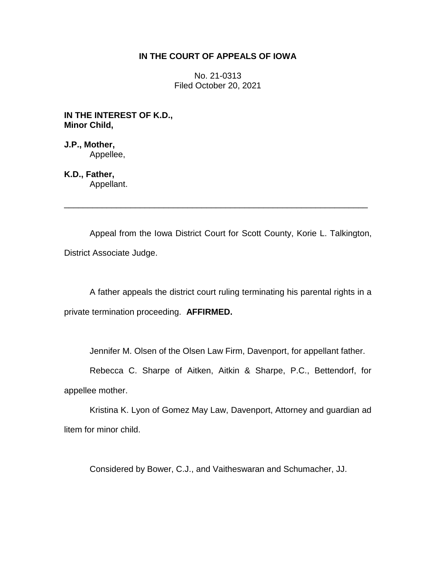# **IN THE COURT OF APPEALS OF IOWA**

No. 21-0313 Filed October 20, 2021

**IN THE INTEREST OF K.D., Minor Child,**

**J.P., Mother,** Appellee,

**K.D., Father,** Appellant.

Appeal from the Iowa District Court for Scott County, Korie L. Talkington, District Associate Judge.

\_\_\_\_\_\_\_\_\_\_\_\_\_\_\_\_\_\_\_\_\_\_\_\_\_\_\_\_\_\_\_\_\_\_\_\_\_\_\_\_\_\_\_\_\_\_\_\_\_\_\_\_\_\_\_\_\_\_\_\_\_\_\_\_

A father appeals the district court ruling terminating his parental rights in a private termination proceeding. **AFFIRMED.**

Jennifer M. Olsen of the Olsen Law Firm, Davenport, for appellant father.

Rebecca C. Sharpe of Aitken, Aitkin & Sharpe, P.C., Bettendorf, for appellee mother.

Kristina K. Lyon of Gomez May Law, Davenport, Attorney and guardian ad litem for minor child.

Considered by Bower, C.J., and Vaitheswaran and Schumacher, JJ.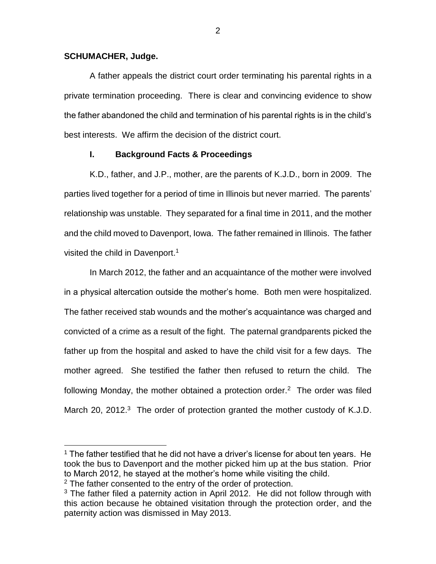#### **SCHUMACHER, Judge.**

A father appeals the district court order terminating his parental rights in a private termination proceeding. There is clear and convincing evidence to show the father abandoned the child and termination of his parental rights is in the child's best interests. We affirm the decision of the district court.

# **I. Background Facts & Proceedings**

K.D., father, and J.P., mother, are the parents of K.J.D., born in 2009. The parties lived together for a period of time in Illinois but never married. The parents' relationship was unstable. They separated for a final time in 2011, and the mother and the child moved to Davenport, Iowa. The father remained in Illinois. The father visited the child in Davenport.<sup>1</sup>

In March 2012, the father and an acquaintance of the mother were involved in a physical altercation outside the mother's home. Both men were hospitalized. The father received stab wounds and the mother's acquaintance was charged and convicted of a crime as a result of the fight. The paternal grandparents picked the father up from the hospital and asked to have the child visit for a few days. The mother agreed. She testified the father then refused to return the child. The following Monday, the mother obtained a protection order.<sup>2</sup> The order was filed March 20, 2012.<sup>3</sup> The order of protection granted the mother custody of K.J.D.

 $\overline{a}$ 

 $1$  The father testified that he did not have a driver's license for about ten years. He took the bus to Davenport and the mother picked him up at the bus station. Prior to March 2012, he stayed at the mother's home while visiting the child.

 $2$  The father consented to the entry of the order of protection.

 $3$  The father filed a paternity action in April 2012. He did not follow through with this action because he obtained visitation through the protection order, and the paternity action was dismissed in May 2013.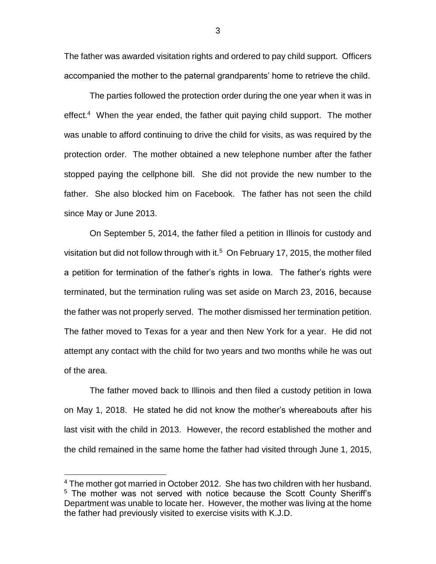The father was awarded visitation rights and ordered to pay child support. Officers accompanied the mother to the paternal grandparents' home to retrieve the child.

The parties followed the protection order during the one year when it was in effect.<sup>4</sup> When the year ended, the father quit paying child support. The mother was unable to afford continuing to drive the child for visits, as was required by the protection order. The mother obtained a new telephone number after the father stopped paying the cellphone bill. She did not provide the new number to the father. She also blocked him on Facebook. The father has not seen the child since May or June 2013.

On September 5, 2014, the father filed a petition in Illinois for custody and visitation but did not follow through with it.<sup>5</sup> On February 17, 2015, the mother filed a petition for termination of the father's rights in Iowa. The father's rights were terminated, but the termination ruling was set aside on March 23, 2016, because the father was not properly served. The mother dismissed her termination petition. The father moved to Texas for a year and then New York for a year. He did not attempt any contact with the child for two years and two months while he was out of the area.

The father moved back to Illinois and then filed a custody petition in Iowa on May 1, 2018. He stated he did not know the mother's whereabouts after his last visit with the child in 2013. However, the record established the mother and the child remained in the same home the father had visited through June 1, 2015,

 $\overline{a}$ 

<sup>&</sup>lt;sup>4</sup> The mother got married in October 2012. She has two children with her husband. <sup>5</sup> The mother was not served with notice because the Scott County Sheriff's Department was unable to locate her. However, the mother was living at the home the father had previously visited to exercise visits with K.J.D.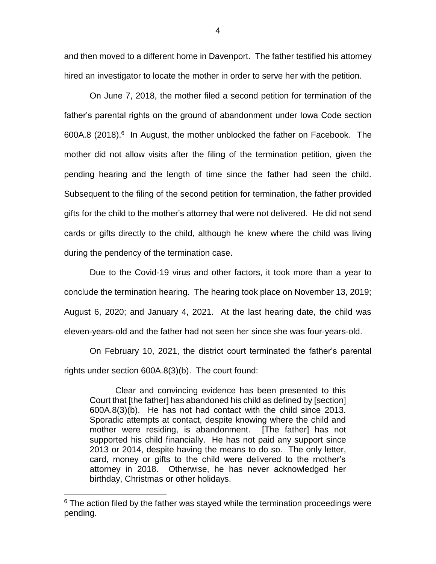and then moved to a different home in Davenport. The father testified his attorney hired an investigator to locate the mother in order to serve her with the petition.

On June 7, 2018, the mother filed a second petition for termination of the father's parental rights on the ground of abandonment under Iowa Code section 600A.8 (2018).<sup>6</sup> In August, the mother unblocked the father on Facebook. The mother did not allow visits after the filing of the termination petition, given the pending hearing and the length of time since the father had seen the child. Subsequent to the filing of the second petition for termination, the father provided gifts for the child to the mother's attorney that were not delivered. He did not send cards or gifts directly to the child, although he knew where the child was living during the pendency of the termination case.

Due to the Covid-19 virus and other factors, it took more than a year to conclude the termination hearing. The hearing took place on November 13, 2019; August 6, 2020; and January 4, 2021. At the last hearing date, the child was eleven-years-old and the father had not seen her since she was four-years-old.

On February 10, 2021, the district court terminated the father's parental rights under section 600A.8(3)(b). The court found:

Clear and convincing evidence has been presented to this Court that [the father] has abandoned his child as defined by [section] 600A.8(3)(b). He has not had contact with the child since 2013. Sporadic attempts at contact, despite knowing where the child and mother were residing, is abandonment. [The father] has not supported his child financially. He has not paid any support since 2013 or 2014, despite having the means to do so. The only letter, card, money or gifts to the child were delivered to the mother's attorney in 2018. Otherwise, he has never acknowledged her birthday, Christmas or other holidays.

 $\overline{a}$ 

4

 $6$  The action filed by the father was stayed while the termination proceedings were pending.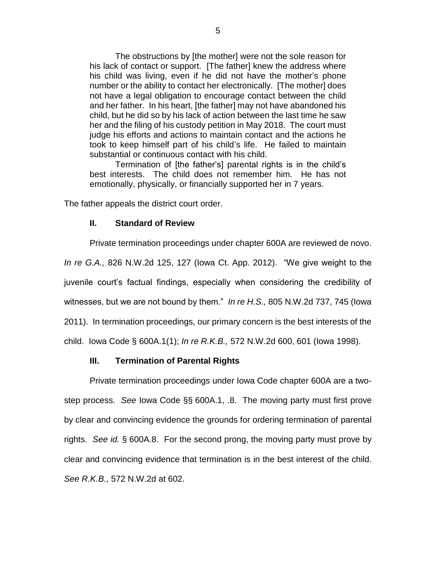The obstructions by [the mother] were not the sole reason for his lack of contact or support. [The father] knew the address where his child was living, even if he did not have the mother's phone number or the ability to contact her electronically. [The mother] does not have a legal obligation to encourage contact between the child and her father. In his heart, [the father] may not have abandoned his child, but he did so by his lack of action between the last time he saw her and the filing of his custody petition in May 2018. The court must judge his efforts and actions to maintain contact and the actions he took to keep himself part of his child's life. He failed to maintain substantial or continuous contact with his child.

Termination of [the father's] parental rights is in the child's best interests. The child does not remember him. He has not emotionally, physically, or financially supported her in 7 years.

The father appeals the district court order.

### **II. Standard of Review**

Private termination proceedings under chapter 600A are reviewed de novo. *In re G.A.,* 826 N.W.2d 125, 127 (Iowa Ct. App. 2012). "We give weight to the juvenile court's factual findings, especially when considering the credibility of witnesses, but we are not bound by them." *In re H.S.,* 805 N.W.2d 737, 745 (Iowa 2011). In termination proceedings, our primary concern is the best interests of the child. Iowa Code § 600A.1(1); *In re R.K.B.,* 572 N.W.2d 600, 601 (Iowa 1998).

### **III. Termination of Parental Rights**

Private termination proceedings under Iowa Code chapter 600A are a twostep process. *See* Iowa Code §§ 600A.1, .8. The moving party must first prove by clear and convincing evidence the grounds for ordering termination of parental rights. *See id.* § 600A.8. For the second prong, the moving party must prove by clear and convincing evidence that termination is in the best interest of the child. *See R.K.B.,* 572 N.W.2d at 602.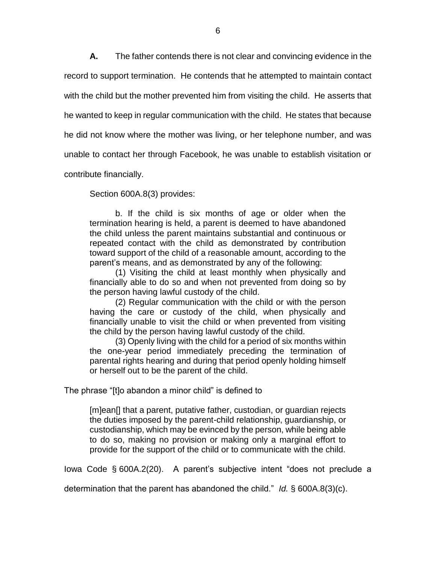**A.** The father contends there is not clear and convincing evidence in the record to support termination. He contends that he attempted to maintain contact with the child but the mother prevented him from visiting the child. He asserts that he wanted to keep in regular communication with the child. He states that because he did not know where the mother was living, or her telephone number, and was unable to contact her through Facebook, he was unable to establish visitation or contribute financially.

Section 600A.8(3) provides:

b. If the child is six months of age or older when the termination hearing is held, a parent is deemed to have abandoned the child unless the parent maintains substantial and continuous or repeated contact with the child as demonstrated by contribution toward support of the child of a reasonable amount, according to the parent's means, and as demonstrated by any of the following:

(1) Visiting the child at least monthly when physically and financially able to do so and when not prevented from doing so by the person having lawful custody of the child.

(2) Regular communication with the child or with the person having the care or custody of the child, when physically and financially unable to visit the child or when prevented from visiting the child by the person having lawful custody of the child.

(3) Openly living with the child for a period of six months within the one-year period immediately preceding the termination of parental rights hearing and during that period openly holding himself or herself out to be the parent of the child.

The phrase "[t]o abandon a minor child" is defined to

[m]ean[] that a parent, putative father, custodian, or guardian rejects the duties imposed by the parent-child relationship, guardianship, or custodianship, which may be evinced by the person, while being able to do so, making no provision or making only a marginal effort to provide for the support of the child or to communicate with the child.

Iowa Code § 600A.2(20). A parent's subjective intent "does not preclude a

determination that the parent has abandoned the child." *Id.* § 600A.8(3)(c).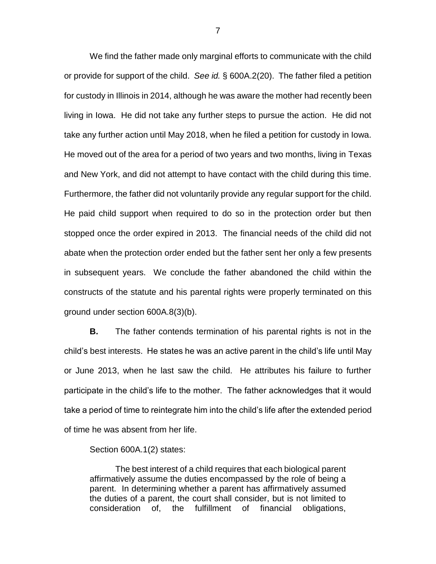We find the father made only marginal efforts to communicate with the child or provide for support of the child. *See id.* § 600A.2(20). The father filed a petition for custody in Illinois in 2014, although he was aware the mother had recently been living in Iowa. He did not take any further steps to pursue the action. He did not take any further action until May 2018, when he filed a petition for custody in Iowa. He moved out of the area for a period of two years and two months, living in Texas and New York, and did not attempt to have contact with the child during this time. Furthermore, the father did not voluntarily provide any regular support for the child. He paid child support when required to do so in the protection order but then stopped once the order expired in 2013. The financial needs of the child did not abate when the protection order ended but the father sent her only a few presents in subsequent years. We conclude the father abandoned the child within the constructs of the statute and his parental rights were properly terminated on this ground under section 600A.8(3)(b).

**B.** The father contends termination of his parental rights is not in the child's best interests. He states he was an active parent in the child's life until May or June 2013, when he last saw the child. He attributes his failure to further participate in the child's life to the mother. The father acknowledges that it would take a period of time to reintegrate him into the child's life after the extended period of time he was absent from her life.

Section 600A.1(2) states:

The best interest of a child requires that each biological parent affirmatively assume the duties encompassed by the role of being a parent. In determining whether a parent has affirmatively assumed the duties of a parent, the court shall consider, but is not limited to consideration of, the fulfillment of financial obligations,

7